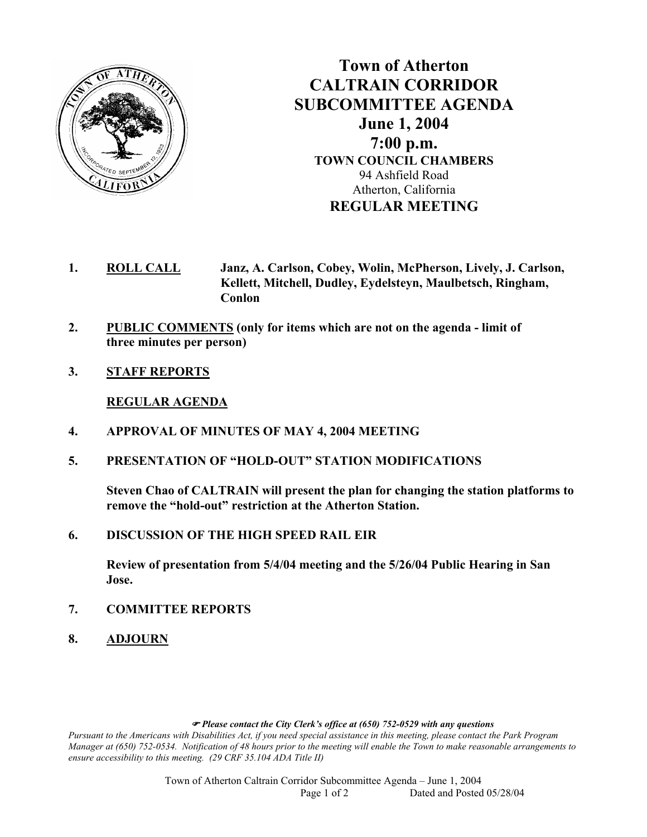

**Town of Atherton CALTRAIN CORRIDOR SUBCOMMITTEE AGENDA June 1, 2004 7:00 p.m. TOWN COUNCIL CHAMBERS**  94 Ashfield Road Atherton, California **REGULAR MEETING** 

- **1. ROLL CALL Janz, A. Carlson, Cobey, Wolin, McPherson, Lively, J. Carlson, Kellett, Mitchell, Dudley, Eydelsteyn, Maulbetsch, Ringham, Conlon**
- **2. PUBLIC COMMENTS (only for items which are not on the agenda limit of three minutes per person)**
- **3. STAFF REPORTS**

**REGULAR AGENDA** 

- **4. APPROVAL OF MINUTES OF MAY 4, 2004 MEETING**
- **5. PRESENTATION OF "HOLD-OUT" STATION MODIFICATIONS**

**Steven Chao of CALTRAIN will present the plan for changing the station platforms to remove the "hold-out" restriction at the Atherton Station.** 

**6. DISCUSSION OF THE HIGH SPEED RAIL EIR** 

**Review of presentation from 5/4/04 meeting and the 5/26/04 Public Hearing in San Jose.** 

- **7. COMMITTEE REPORTS**
- **8. ADJOURN**

) *Please contact the City Clerk's office at (650) 752-0529 with any questions* 

*Pursuant to the Americans with Disabilities Act, if you need special assistance in this meeting, please contact the Park Program Manager at (650) 752-0534. Notification of 48 hours prior to the meeting will enable the Town to make reasonable arrangements to ensure accessibility to this meeting. (29 CRF 35.104 ADA Title II)* 

> Town of Atherton Caltrain Corridor Subcommittee Agenda – June 1, 2004 Page 1 of 2 Dated and Posted 05/28/04